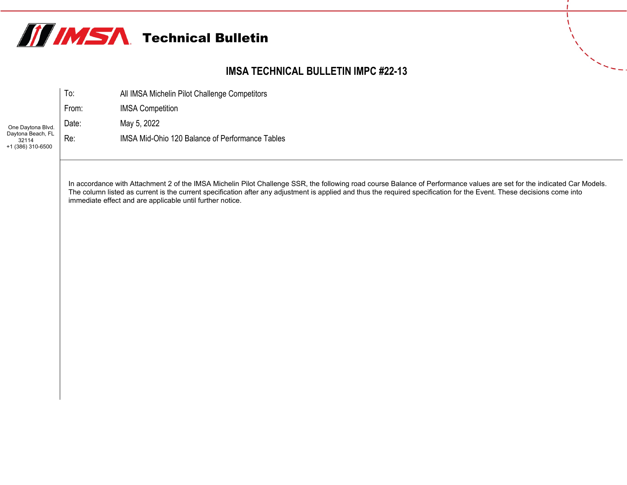

## **IMSA TECHNICAL BULLETIN IMPC #22-13**

|                                                 | To:   | All IMSA Michelin Pilot Challenge Competitors   |  |  |  |  |  |
|-------------------------------------------------|-------|-------------------------------------------------|--|--|--|--|--|
|                                                 | From: | <b>IMSA Competition</b>                         |  |  |  |  |  |
| One Daytona Blvd.                               | Date: | May 5, 2022                                     |  |  |  |  |  |
| Daytona Beach, FL<br>32114<br>+1 (386) 310-6500 | Re:   | IMSA Mid-Ohio 120 Balance of Performance Tables |  |  |  |  |  |

In accordance with Attachment 2 of the IMSA Michelin Pilot Challenge SSR, the following road course Balance of Performance values are set for the indicated Car Models. The column listed as current is the current specification after any adjustment is applied and thus the required specification for the Event. These decisions come into immediate effect and are applicable until further notice.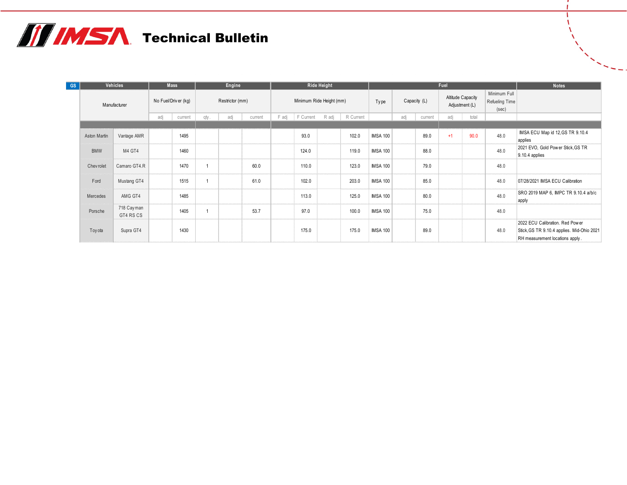## **THIMSA** Technical Bulletin

| GS. | Vehicles     |                         |     | Engine<br><b>Mass</b> |      | <b>Ride Height</b> |         |                          |           | Fuel  |           |                 |     |                                     |      | <b>Notes</b>                            |      |                                                                                                                  |
|-----|--------------|-------------------------|-----|-----------------------|------|--------------------|---------|--------------------------|-----------|-------|-----------|-----------------|-----|-------------------------------------|------|-----------------------------------------|------|------------------------------------------------------------------------------------------------------------------|
|     |              | Manufacturer            |     | No Fuel/Driver (kg)   |      | Restrictor (mm)    |         | Minimum Ride Height (mm) |           |       | Type      | Capacity (L)    |     | Altitude Capacity<br>Adjustment (L) |      | Minimum Full<br>Refueling Time<br>(sec) |      |                                                                                                                  |
|     |              |                         | adj | current               | qty. | adj                | current | F adj                    | F Current | R adj | R Current |                 | adj | current                             | adj  | total                                   |      |                                                                                                                  |
|     |              |                         |     |                       |      |                    |         |                          |           |       |           |                 |     |                                     |      |                                         |      |                                                                                                                  |
|     | Aston Martin | Vantage AMR             |     | 1495                  |      |                    |         |                          | 93.0      |       | 102.0     | <b>IMSA 100</b> |     | 89.0                                | $+1$ | 90.0                                    | 48.0 | IMSA ECU Map id 12, GS TR 9.10.4<br>applies                                                                      |
|     | <b>BMW</b>   | M4 GT4                  |     | 1460                  |      |                    |         |                          | 124.0     |       | 119.0     | <b>IMSA 100</b> |     | 88.0                                |      |                                         | 48.0 | 2021 EVO, Gold Pow er Stick, GS TR<br>9.10.4 applies                                                             |
|     | Chev rolet   | Camaro GT4.R            |     | 1470                  |      |                    | 60.0    |                          | 110.0     |       | 123.0     | <b>IMSA 100</b> |     | 79.0                                |      |                                         | 48.0 |                                                                                                                  |
|     | Ford         | Mustang GT4             |     | 1515                  |      |                    | 61.0    |                          | 102.0     |       | 203.0     | <b>IMSA 100</b> |     | 85.0                                |      |                                         | 48.0 | 07/28/2021 IMSA ECU Calibration                                                                                  |
|     | Mercedes     | AMG GT4                 |     | 1485                  |      |                    |         |                          | 113.0     |       | 125.0     | <b>IMSA 100</b> |     | 80.0                                |      |                                         | 48.0 | SRO 2019 MAP 6, IMPC TR 9.10.4 a/b/c<br>apply                                                                    |
|     | Porsche      | 718 Cayman<br>GT4 RS CS |     | 1405                  |      |                    | 53.7    |                          | 97.0      |       | 100.0     | <b>IMSA 100</b> |     | 75.0                                |      |                                         | 48.0 |                                                                                                                  |
|     | Toy ota      | Supra GT4               |     | 1430                  |      |                    |         |                          | 175.0     |       | 175.0     | <b>IMSA 100</b> |     | 89.0                                |      |                                         | 48.0 | 2022 ECU Calibration. Red Power<br>Stick, GS TR 9.10.4 applies. Mid-Ohio 2021<br>RH measurement locations apply. |